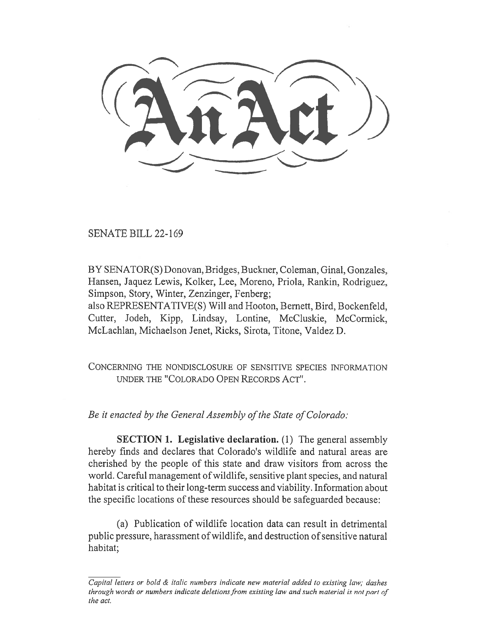(AnAct)

SENATE BILL 22-169

BY SENATOR(S) Donovan, Bridges, Buckner, Coleman, Ginal, Gonzales, Hansen, Jaquez Lewis, Kolker, Lee, Moreno, Priola, Rankin, Rodriguez, Simpson, Story, Winter, Zenzinger, Fenberg;

also REPRESENTATIVE(S) Will and Hooton, Bernett, Bird, Bockenfeld, Cutter, Jodeh, Kipp, Lindsay, Lontine, McCluskie, McCormick, McLachlan, Michaelson Jenet, Ricks, Sirota, Titone, Valdez D.

CONCERNING THE NONDISCLOSURE OF SENSITIVE SPECIES INFORMATION UNDER THE "COLORADO OPEN RECORDS ACT".

Be it enacted by the General Assembly of the State of Colorado:

SECTION 1. Legislative declaration. (1) The general assembly hereby finds and declares that Colorado's wildlife and natural areas are cherished by the people of this state and draw visitors from across the world. Careful management of wildlife, sensitive plant species, and natural habitat is critical to their long-term success and viability. Information about the specific locations of these resources should be safeguarded because:

(a) Publication of wildlife location data can result in detrimental public pressure, harassment of wildlife, and destruction of sensitive natural habitat;

Capital letters or bold & italic numbers indicate new material added to existing law; dashes through words or numbers indicate deletions from existing law and such material is not part of the act.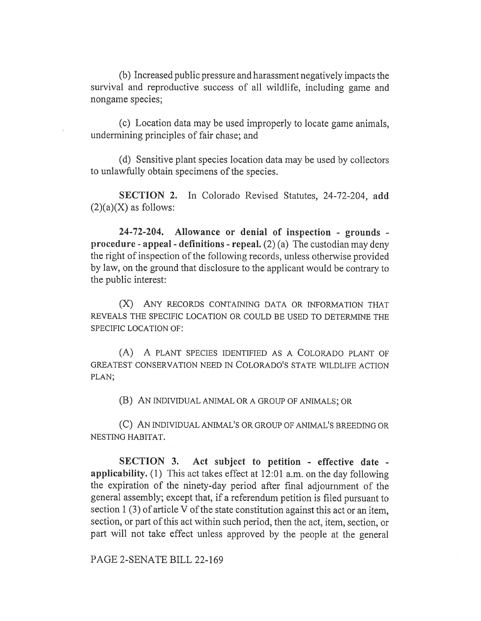(b) Increased public pressure and harassment negatively impacts the survival and reproductive success of all wildlife, including game and nongame species;

(c) Location data may be used improperly to locate game animals, undermining principles of fair chase; and

(d) Sensitive plant species location data may be used by collectors to unlawfully obtain specimens of the species.

SECTION 2. In Colorado Revised Statutes, 24-72-204, add  $(2)(a)(X)$  as follows:

24-72-204. Allowance or denial of inspection - grounds procedure - appeal - definitions - repeal.  $(2)$  (a) The custodian may deny the right of inspection of the following records, unless otherwise provided by law, on the ground that disclosure to the applicant would be contrary to the public interest:

(X) ANY RECORDS CONTAINING DATA OR INFORMATION THAT REVEALS THE SPECIFIC LOCATION OR COULD BE USED TO DETERMINE THE SPECIFIC LOCATION OF:

(A) A PLANT SPECIES IDENTIFIED AS A COLORADO PLANT OF GREATEST CONSERVATION NEED IN COLORADO'S STATE WILDLIFE ACTION PLAN;

(B) AN INDIVIDUAL ANIMAL OR A GROUP OF ANIMALS; OR

(C) AN INDIVIDUAL ANIMAL'S OR GROUP OF ANIMAL'S BREEDING OR NESTING HABITAT.

SECTION 3. Act subject to petition - effective date applicability. (1) This act takes effect at 12:01 a.m. on the day following the expiration of the ninety-day period after final adjournment of the general assembly; except that, if a referendum petition is filed pursuant to section 1 (3) of article V of the state constitution against this act or an item, section, or part of this act within such period, then the act, item, section, or part will not take effect unless approved by the people at the general

PAGE 2-SENATE BILL 22-169